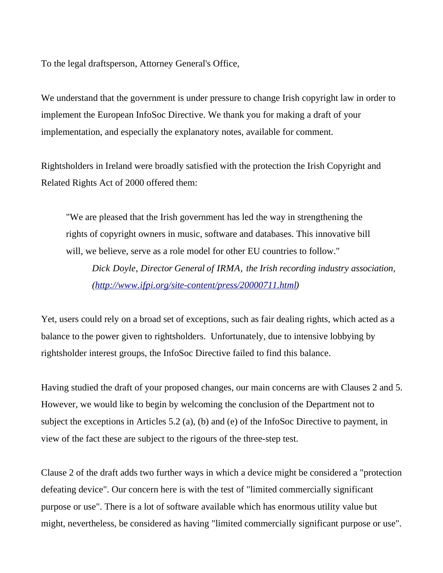To the legal draftsperson, Attorney General's Office,

We understand that the government is under pressure to change Irish copyright law in order to implement the European InfoSoc Directive. We thank you for making a draft of your implementation, and especially the explanatory notes, available for comment.

Rightsholders in Ireland were broadly satisfied with the protection the Irish Copyright and Related Rights Act of 2000 offered them:

"We are pleased that the Irish government has led the way in strengthening the rights of copyright owners in music, software and databases. This innovative bill will, we believe, serve as a role model for other EU countries to follow."

*Dick Doyle, Director General of IRMA, the Irish recording industry association, (http://www.ifpi.org/site-content/press/20000711.html)*

Yet, users could rely on a broad set of exceptions, such as fair dealing rights, which acted as a balance to the power given to rightsholders. Unfortunately, due to intensive lobbying by rightsholder interest groups, the InfoSoc Directive failed to find this balance.

Having studied the draft of your proposed changes, our main concerns are with Clauses 2 and 5. However, we would like to begin by welcoming the conclusion of the Department not to subject the exceptions in Articles 5.2 (a), (b) and (e) of the InfoSoc Directive to payment, in view of the fact these are subject to the rigours of the three-step test.

Clause 2 of the draft adds two further ways in which a device might be considered a "protection defeating device". Our concern here is with the test of "limited commercially significant purpose or use". There is a lot of software available which has enormous utility value but might, nevertheless, be considered as having "limited commercially significant purpose or use".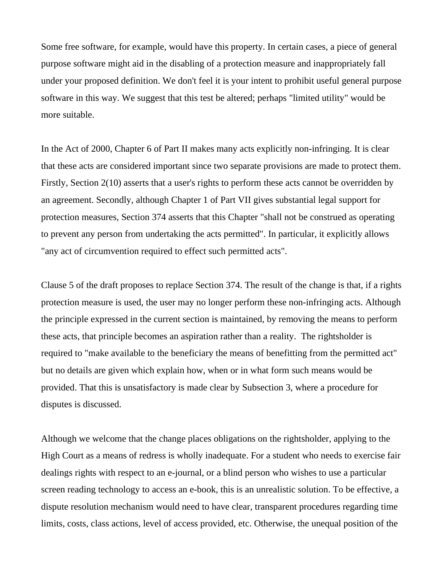Some free software, for example, would have this property. In certain cases, a piece of general purpose software might aid in the disabling of a protection measure and inappropriately fall under your proposed definition. We don't feel it is your intent to prohibit useful general purpose software in this way. We suggest that this test be altered; perhaps "limited utility" would be more suitable.

In the Act of 2000, Chapter 6 of Part II makes many acts explicitly non-infringing. It is clear that these acts are considered important since two separate provisions are made to protect them. Firstly, Section 2(10) asserts that a user's rights to perform these acts cannot be overridden by an agreement. Secondly, although Chapter 1 of Part VII gives substantial legal support for protection measures, Section 374 asserts that this Chapter "shall not be construed as operating to prevent any person from undertaking the acts permitted". In particular, it explicitly allows "any act of circumvention required to effect such permitted acts".

Clause 5 of the draft proposes to replace Section 374. The result of the change is that, if a rights protection measure is used, the user may no longer perform these non-infringing acts. Although the principle expressed in the current section is maintained, by removing the means to perform these acts, that principle becomes an aspiration rather than a reality. The rightsholder is required to "make available to the beneficiary the means of benefitting from the permitted act" but no details are given which explain how, when or in what form such means would be provided. That this is unsatisfactory is made clear by Subsection 3, where a procedure for disputes is discussed.

Although we welcome that the change places obligations on the rightsholder, applying to the High Court as a means of redress is wholly inadequate. For a student who needs to exercise fair dealings rights with respect to an e-journal, or a blind person who wishes to use a particular screen reading technology to access an e-book, this is an unrealistic solution. To be effective, a dispute resolution mechanism would need to have clear, transparent procedures regarding time limits, costs, class actions, level of access provided, etc. Otherwise, the unequal position of the